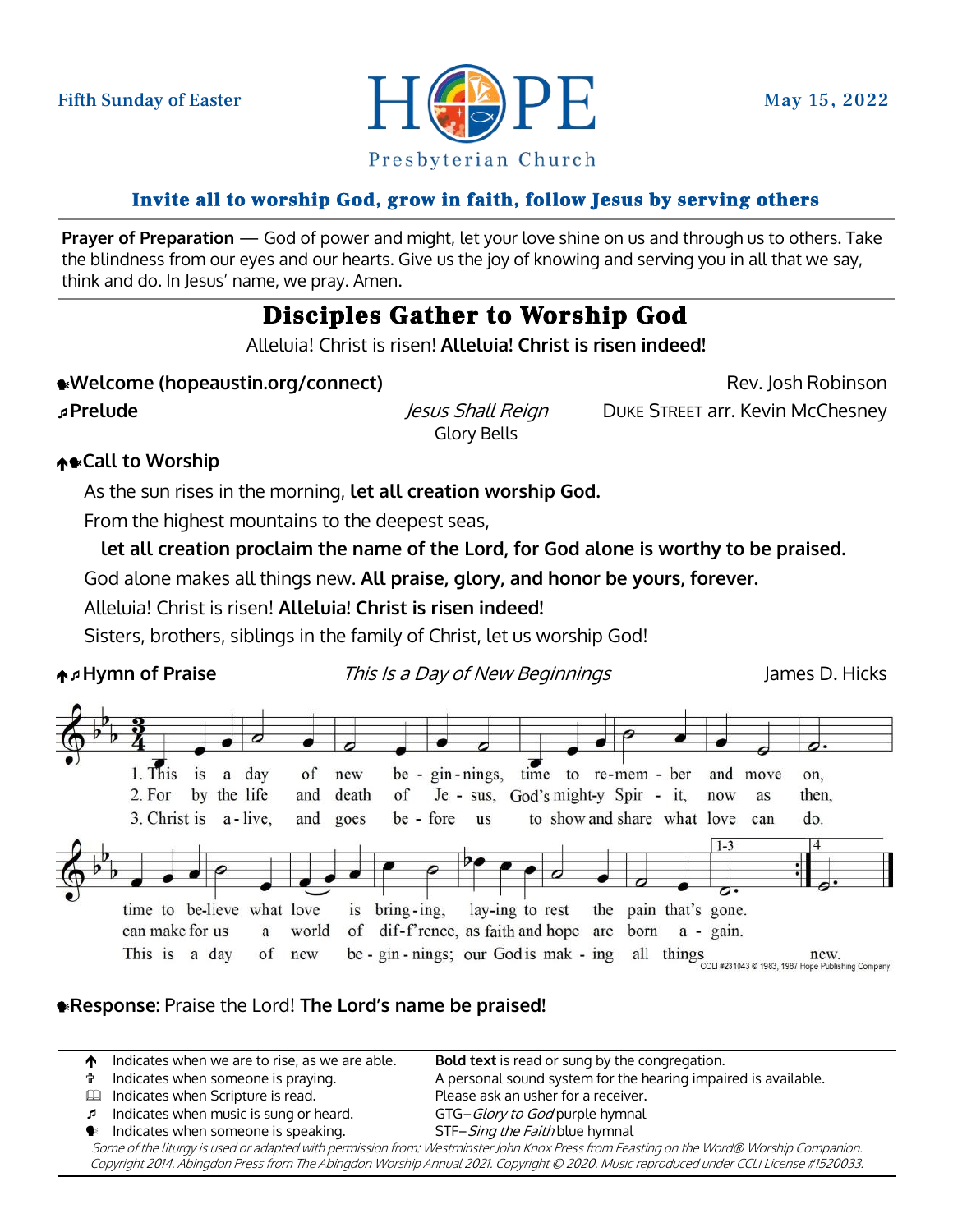

### Invite all to worship God, grow in faith, follow Jesus by serving others

**Prayer of Preparation** — God of power and might, let your love shine on us and through us to others. Take the blindness from our eyes and our hearts. Give us the joy of knowing and serving you in all that we say, think and do. In Jesus' name, we pray. Amen.

### Disciples Gather to Worship God

Alleluia! Christ is risen! **Alleluia! Christ is risen indeed!**

**Example 20 AVelcome (hopeaustin.org/connect)** Rev. Josh Robinson

Glory Bells

**Prelude** Jesus Shall Reign DUKE STREET arr. Kevin McChesney

### **↑●Call to Worship**

As the sun rises in the morning, **let all creation worship God.**

From the highest mountains to the deepest seas,

**let all creation proclaim the name of the Lord, for God alone is worthy to be praised.**

God alone makes all things new. **All praise, glory, and honor be yours, forever.**

Alleluia! Christ is risen! **Alleluia! Christ is risen indeed!**

Sisters, brothers, siblings in the family of Christ, let us worship God!

**A<sub>P</sub>Hymn of Praise** This Is a Day of New Beginnings James D. Hicks



### **Response:** Praise the Lord! **The Lord's name be praised!**

**1** Indicates when we are to rise, as we are able. **Bold text** is read or sung by the congregation. Indicates when someone is praying. A personal sound system for the hearing impaired is available. Indicates when Scripture is read. Please ask an usher for a receiver. Indicates when music is sung or heard. GTG–Glory to God purple hymnal  $\bullet$  Indicates when someone is speaking. STF–Sing the Faith blue hymnal Some of the liturgy is used or adapted with permission from: Westminster John Knox Press from Feasting on the Word® Worship Companion.

Copyright 2014. Abingdon Press from The Abingdon Worship Annual 2021. Copyright © 2020. Music reproduced under CCLI License #1520033.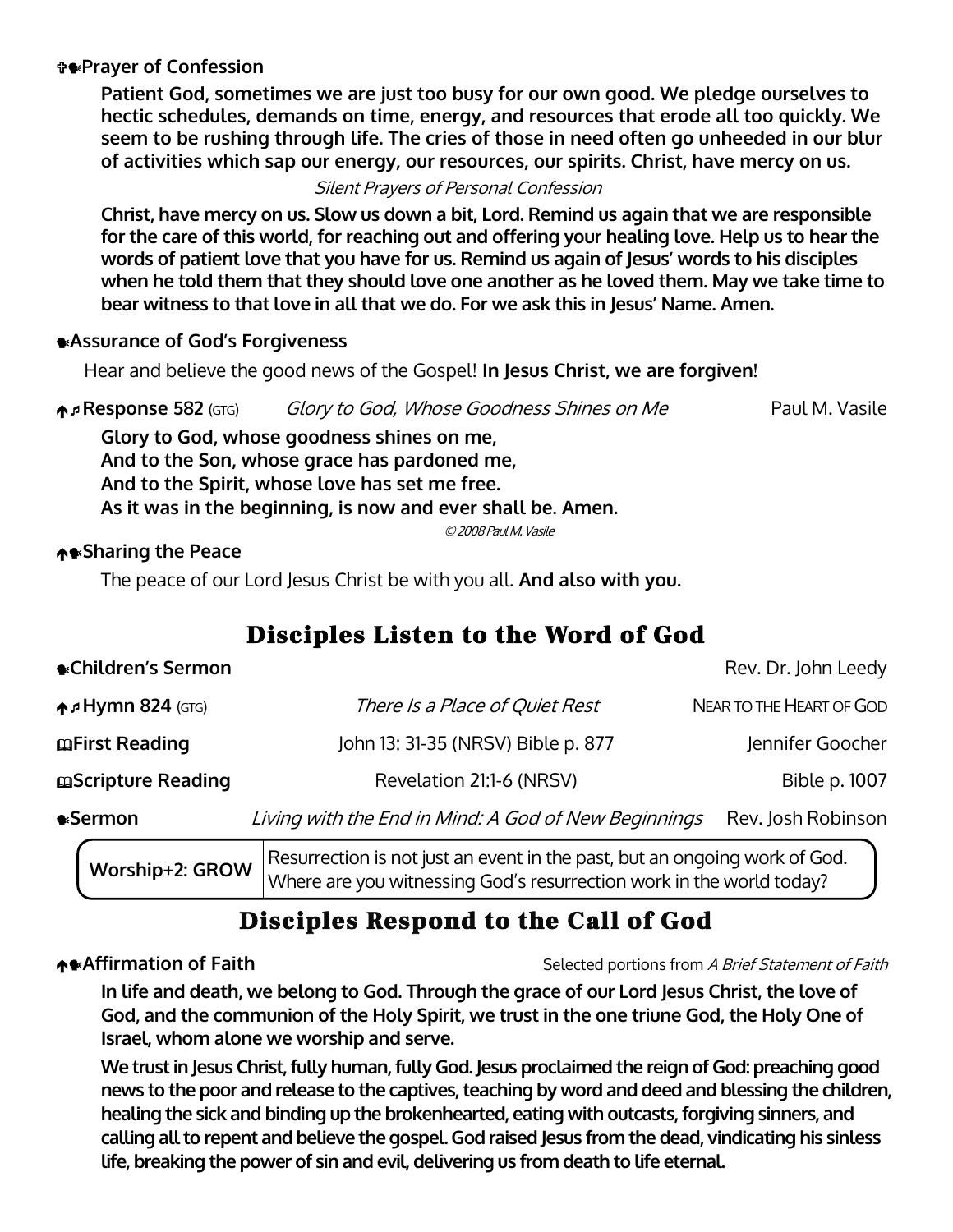### **Prayer of Confession**

**Patient God, sometimes we are just too busy for our own good. We pledge ourselves to hectic schedules, demands on time, energy, and resources that erode all too quickly. We seem to be rushing through life. The cries of those in need often go unheeded in our blur of activities which sap our energy, our resources, our spirits. Christ, have mercy on us.** 

Silent Prayers of Personal Confession

**Christ, have mercy on us. Slow us down a bit, Lord. Remind us again that we are responsible for the care of this world, for reaching out and offering your healing love. Help us to hear the words of patient love that you have for us. Remind us again of Jesus' words to his disciples when he told them that they should love one another as he loved them. May we take time to bear witness to that love in all that we do. For we ask this in Jesus' Name. Amen.**

#### **Assurance of God's Forgiveness**

Hear and believe the good news of the Gospel! **In Jesus Christ, we are forgiven!**

**A. Response 582** (GTG) Glory to God, Whose Goodness Shines on Me Paul M. Vasile

**Glory to God, whose goodness shines on me, And to the Son, whose grace has pardoned me, And to the Spirit, whose love has set me free. As it was in the beginning, is now and ever shall be. Amen.**

© 2008 Paul M. Vasile

### **Sharing the Peace**

The peace of our Lord Jesus Christ be with you all. **And also with you.** 

## Disciples Listen to the Word of God

|                                         | $\Box$                                               |                          |
|-----------------------------------------|------------------------------------------------------|--------------------------|
| <b>•</b> Sermon                         | Living with the End in Mind: A God of New Beginnings | Rev. Josh Robinson       |
| mScripture Reading                      | Revelation 21:1-6 (NRSV)                             | Bible p. 1007            |
| mFirst Reading                          | John 13: 31-35 (NRSV) Bible p. 877                   | Jennifer Goocher         |
| $\bigwedge$ <sub>5</sub> Hymn 824 (GTG) | There Is a Place of Quiet Rest                       | NEAR TO THE HEART OF GOD |
| <b>• Children's Sermon</b>              |                                                      | Rev. Dr. John Leedy      |

**Worship+2: GROW** Resurrection is not just an event in the past, but an ongoing work of God. Where are you witnessing God's resurrection work in the world today?

# Disciples Respond to the Call of God

**Affirmation of Faith** Selected portions from *A Brief Statement of Faith* Selected portions from A Brief Statement of Faith

**In life and death, we belong to God. Through the grace of our Lord Jesus Christ, the love of God, and the communion of the Holy Spirit, we trust in the one triune God, the Holy One of Israel, whom alone we worship and serve.**

**We trust in Jesus Christ, fully human, fully God. Jesus proclaimed the reign of God: preaching good news to the poor and release to the captives, teaching by word and deed and blessing the children, healing the sick and binding up the brokenhearted, eating with outcasts, forgiving sinners, and calling all to repent and believe the gospel. God raised Jesus from the dead, vindicating his sinless life, breaking the power of sin and evil, delivering us from death to life eternal.**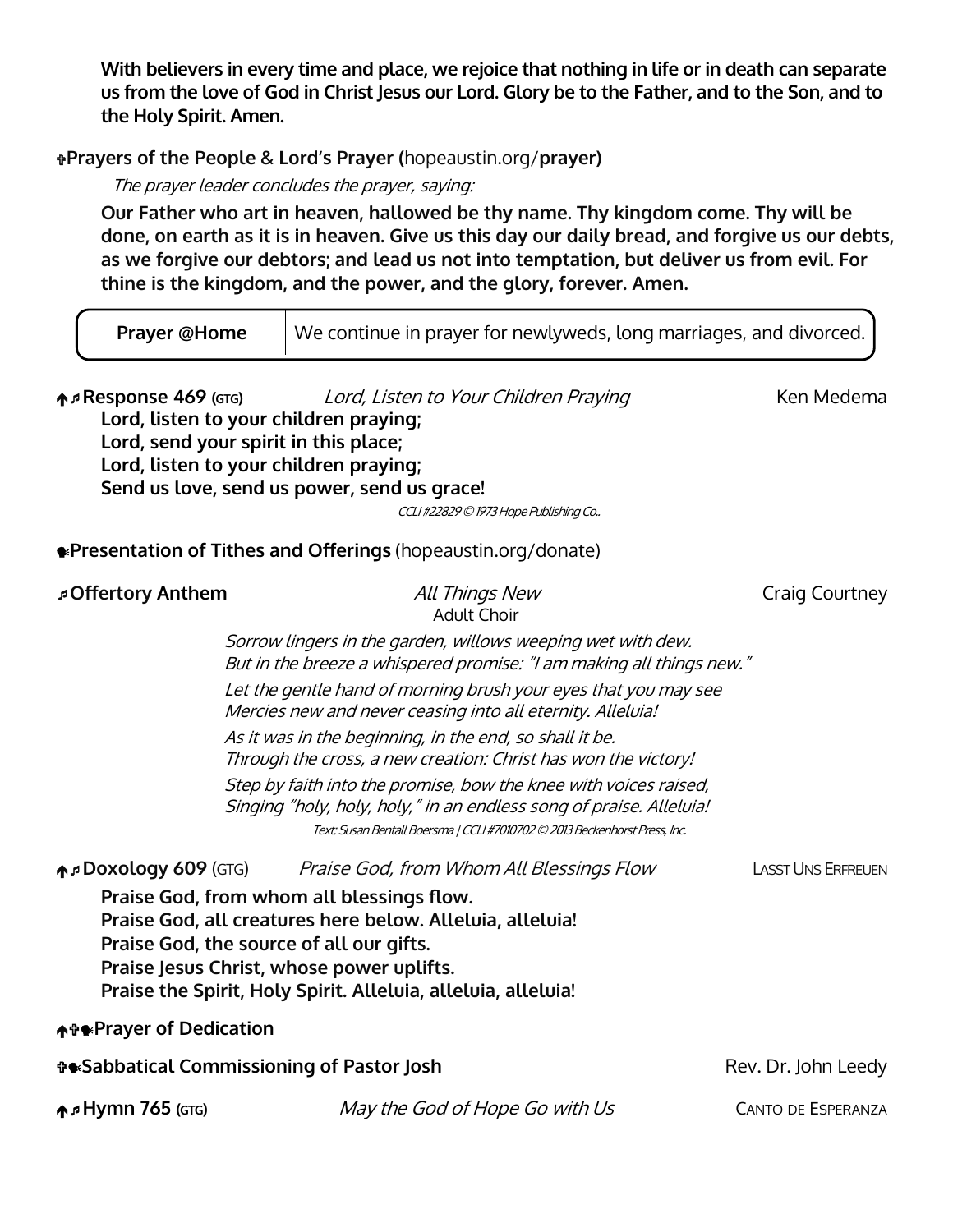**With believers in every time and place, we rejoice that nothing in life or in death can separate us from the love of God in Christ Jesus our Lord. Glory be to the Father, and to the Son, and to the Holy Spirit. Amen.**

### **Prayers of the People & Lord's Prayer (**hopeaustin.org/**prayer)**

The prayer leader concludes the prayer, saying:

**Our Father who art in heaven, hallowed be thy name. Thy kingdom come. Thy will be done, on earth as it is in heaven. Give us this day our daily bread, and forgive us our debts, as we forgive our debtors; and lead us not into temptation, but deliver us from evil. For thine is the kingdom, and the power, and the glory, forever. Amen.**

| <b>Prayer @Home</b>                                                                                                                                      | We continue in prayer for newlyweds, long marriages, and divorced.                                                                                                                                                                                                                                                                                                                                                                                                                                                                                                                                                         |                           |
|----------------------------------------------------------------------------------------------------------------------------------------------------------|----------------------------------------------------------------------------------------------------------------------------------------------------------------------------------------------------------------------------------------------------------------------------------------------------------------------------------------------------------------------------------------------------------------------------------------------------------------------------------------------------------------------------------------------------------------------------------------------------------------------------|---------------------------|
| <b>↑</b> Response 469 (GTG)<br>Lord, listen to your children praying;<br>Lord, send your spirit in this place;<br>Lord, listen to your children praying; | Lord, Listen to Your Children Praying<br>Send us love, send us power, send us grace!<br>CCLI#22829 © 1973 Hope Publishing Co                                                                                                                                                                                                                                                                                                                                                                                                                                                                                               | Ken Medema                |
|                                                                                                                                                          | <b>.</b> Presentation of Tithes and Offerings (hopeaustin.org/donate)                                                                                                                                                                                                                                                                                                                                                                                                                                                                                                                                                      |                           |
| <b>Offertory Anthem</b>                                                                                                                                  | All Things New<br><b>Adult Choir</b>                                                                                                                                                                                                                                                                                                                                                                                                                                                                                                                                                                                       | <b>Craig Courtney</b>     |
|                                                                                                                                                          | Sorrow lingers in the garden, willows weeping wet with dew.<br>But in the breeze a whispered promise: "I am making all things new."<br>Let the gentle hand of morning brush your eyes that you may see<br>Mercies new and never ceasing into all eternity. Alleluia!<br>As it was in the beginning, in the end, so shall it be.<br>Through the cross, a new creation: Christ has won the victory!<br>Step by faith into the promise, bow the knee with voices raised,<br>Singing "holy, holy, holy," in an endless song of praise. Alleluia!<br>Text: Susan Bentall Boersma   CCLI #7010702 © 2013 Beckenhorst Press, Inc. |                           |
| <b>A</b> <sup>D</sup> OXOLOGY 609 (GTG)<br>↑↑ Prayer of Dedication                                                                                       | Praise God, from Whom All Blessings Flow<br>Praise God, from whom all blessings flow.<br>Praise God, all creatures here below. Alleluia, alleluia!<br>Praise God, the source of all our gifts.<br>Praise Jesus Christ, whose power uplifts.<br>Praise the Spirit, Holy Spirit. Alleluia, alleluia, alleluia!                                                                                                                                                                                                                                                                                                               | <b>LASST UNS ERFREUEN</b> |
| <b><i>T</i>*Sabbatical Commissioning of Pastor Josh</b>                                                                                                  |                                                                                                                                                                                                                                                                                                                                                                                                                                                                                                                                                                                                                            | Rev. Dr. John Leedy       |
| ↑ Hymn 765 (GTG)                                                                                                                                         | May the God of Hope Go with Us                                                                                                                                                                                                                                                                                                                                                                                                                                                                                                                                                                                             | <b>CANTO DE ESPERANZA</b> |